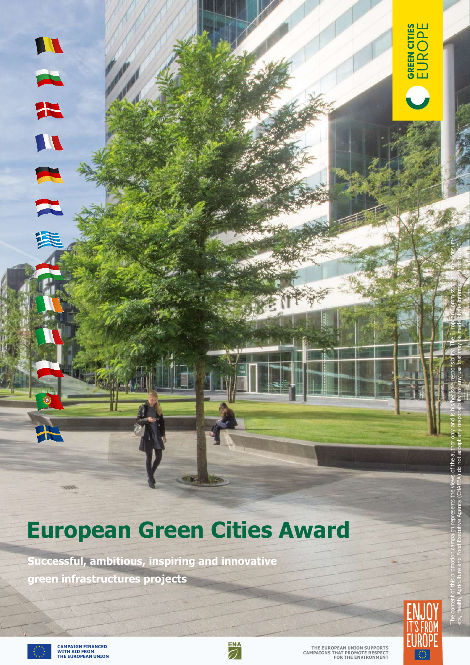# **European Green Cities Award**

**Successful, ambitious, inspiring and innovative green infrastructures projects**





The content of this promotion campaign represents the views of the author only and is his/her sole responsibility. The European Commission and the Consumers, Health, Agriculture and Food Executive Agency (CHAFEA) do not accept any responsibility for any use that may be made of the information it contains."

of the a

GREN CITIES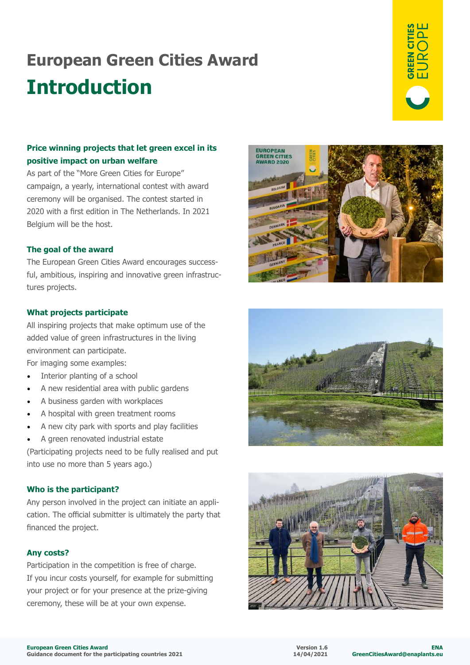### **European Green Cities Award Introduction**



### **Price winning projects that let green excel in its positive impact on urban welfare**

As part of the "More Green Cities for Europe" campaign, a yearly, international contest with award ceremony will be organised. The contest started in 2020 with a first edition in The Netherlands. In 2021 Belgium will be the host.

#### **The goal of the award**

The European Green Cities Award encourages successful, ambitious, inspiring and innovative green infrastructures projects.

#### **What projects participate**

All inspiring projects that make optimum use of the added value of green infrastructures in the living environment can participate.

For imaging some examples:

- Interior planting of a school
- A new residential area with public gardens
- A business garden with workplaces
- A hospital with green treatment rooms
- A new city park with sports and play facilities
- A green renovated industrial estate

(Participating projects need to be fully realised and put into use no more than 5 years ago.)

#### **Who is the participant?**

Any person involved in the project can initiate an application. The official submitter is ultimately the party that financed the project.

#### **Any costs?**

Participation in the competition is free of charge. If you incur costs yourself, for example for submitting your project or for your presence at the prize-giving ceremony, these will be at your own expense.





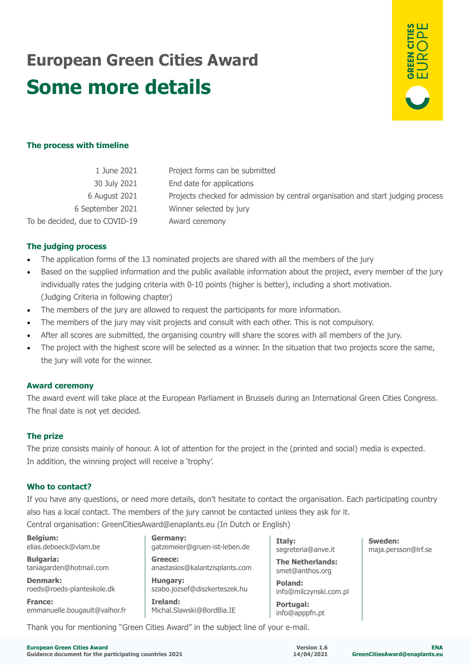## **European Green Cities Award Some more details**



#### **The process with timeline**

| 1 June 2021                    | Project forms can be submitted                                                   |
|--------------------------------|----------------------------------------------------------------------------------|
| 30 July 2021                   | End date for applications                                                        |
| 6 August 2021                  | Projects checked for admission by central organisation and start judging process |
| 6 September 2021               | Winner selected by jury                                                          |
| To be decided, due to COVID-19 | Award ceremony                                                                   |
|                                |                                                                                  |

#### **The judging process**

- The application forms of the 13 nominated projects are shared with all the members of the jury
- Based on the supplied information and the public available information about the project, every member of the jury individually rates the judging criteria with 0-10 points (higher is better), including a short motivation. (Judging Criteria in following chapter)
- The members of the jury are allowed to request the participants for more information.
- The members of the jury may visit projects and consult with each other. This is not compulsory.
- After all scores are submitted, the organising country will share the scores with all members of the jury.
- The project with the highest score will be selected as a winner. In the situation that two projects score the same, the jury will vote for the winner.

#### **Award ceremony**

The award event will take place at the European Parliament in Brussels during an International Green Cities Congress. The final date is not yet decided.

#### **The prize**

The prize consists mainly of honour. A lot of attention for the project in the (printed and social) media is expected. In addition, the winning project will receive a 'trophy'.

#### **Who to contact?**

If you have any questions, or need more details, don't hesitate to contact the organisation. Each participating country also has a local contact. The members of the jury cannot be contacted unless they ask for it.

Central organisation: GreenCitiesAward@enaplants.eu (In Dutch or English)

**Germany:**

**Belgium:** elias.deboeck@vlam.be **Bulgaria:**

taniagarden@hotmail.com

**France:**

**Denmark:**  roeds@roeds-planteskole.dk

emmanuelle.bougault@valhor.fr

**Greece:** anastasios@kalantzisplants.com **Hungary:** szabo.jozsef@diszkerteszek.hu **Ireland:**

gatzemeier@gruen-ist-leben.de

Michal.Slawski@BordBia.IE

**Italy:** segreteria@anve.it

**The Netherlands:** smet@anthos.org

**Poland:** info@milczynski.com.pl

**Portugal:** info@apppfn.pt **Sweden:** maja.persson@lrf.se

Thank you for mentioning "Green Cities Award" in the subject line of your e-mail.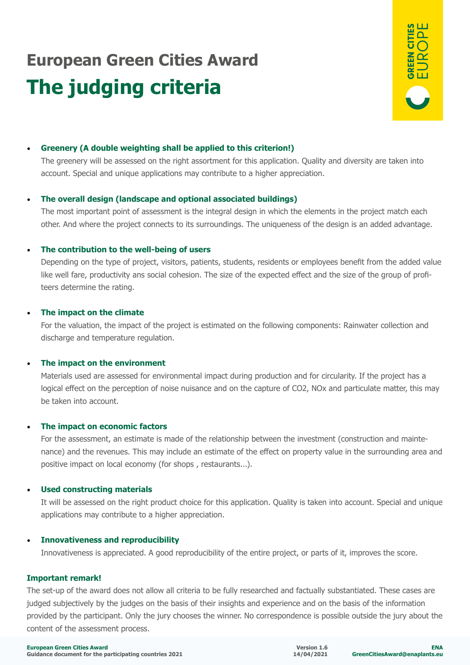# **European Green Cities Award The judging criteria**



#### • **Greenery (A double weighting shall be applied to this criterion!)**

The greenery will be assessed on the right assortment for this application. Quality and diversity are taken into account. Special and unique applications may contribute to a higher appreciation.

#### • **The overall design (landscape and optional associated buildings)**

The most important point of assessment is the integral design in which the elements in the project match each other. And where the project connects to its surroundings. The uniqueness of the design is an added advantage.

#### • **The contribution to the well-being of users**

Depending on the type of project, visitors, patients, students, residents or employees benefit from the added value like well fare, productivity ans social cohesion. The size of the expected effect and the size of the group of profiteers determine the rating.

#### • **The impact on the climate**

For the valuation, the impact of the project is estimated on the following components: Rainwater collection and discharge and temperature regulation.

#### • **The impact on the environment**

Materials used are assessed for environmental impact during production and for circularity. If the project has a logical effect on the perception of noise nuisance and on the capture of CO2, NOx and particulate matter, this may be taken into account.

#### • **The impact on economic factors**

For the assessment, an estimate is made of the relationship between the investment (construction and maintenance) and the revenues. This may include an estimate of the effect on property value in the surrounding area and positive impact on local economy (for shops , restaurants...).

#### • **Used constructing materials**

It will be assessed on the right product choice for this application. Quality is taken into account. Special and unique applications may contribute to a higher appreciation.

#### • **Innovativeness and reproducibility**

Innovativeness is appreciated. A good reproducibility of the entire project, or parts of it, improves the score.

#### **Important remark!**

The set-up of the award does not allow all criteria to be fully researched and factually substantiated. These cases are judged subjectively by the judges on the basis of their insights and experience and on the basis of the information provided by the participant. Only the jury chooses the winner. No correspondence is possible outside the jury about the content of the assessment process.